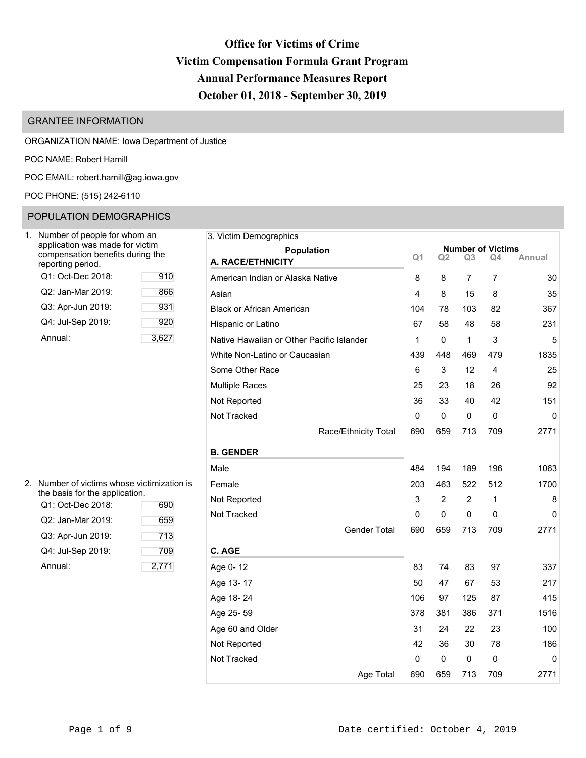# **Office for Victims of Crime Victim Compensation Formula Grant Program Annual Performance Measures Report October 01, 2018 - September 30, 2019**

# GRANTEE INFORMATION

## ORGANIZATION NAME: Iowa Department of Justice

POC NAME: Robert Hamill

POC EMAIL: [robert.hamill@ag.iowa.gov](mailto:robert.hamill@ag.iowa.gov)

## POC PHONE: (515) 242-6110

# POPULATION DEMOGRAPHICS

| Number of people for whom an<br>application was made for victim<br>compensation benefits during the<br>reporting period. |       |
|--------------------------------------------------------------------------------------------------------------------------|-------|
| Q1: Oct-Dec 2018:                                                                                                        | 910   |
| Q2: Jan-Mar 2019:                                                                                                        | 866   |
| Q3: Apr-Jun 2019:                                                                                                        | 931   |
| Q4: Jul-Sep 2019:                                                                                                        | 920   |
| Annual:                                                                                                                  | 3,627 |

| 3. Victim Demographics                    |                |                |                |                                |        |
|-------------------------------------------|----------------|----------------|----------------|--------------------------------|--------|
| <b>Population</b>                         | Q <sub>1</sub> | Q2             | Q3             | <b>Number of Victims</b><br>Q4 | Annual |
| A. RACE/ETHNICITY                         |                |                |                |                                |        |
| American Indian or Alaska Native          | 8              | 8              | 7              | 7                              | 30     |
| Asian                                     | 4              | 8              | 15             | 8                              | 35     |
| <b>Black or African American</b>          | 104            | 78             | 103            | 82                             | 367    |
| Hispanic or Latino                        | 67             | 58             | 48             | 58                             | 231    |
| Native Hawaiian or Other Pacific Islander | 1              | 0              | 1              | 3                              | 5      |
| White Non-Latino or Caucasian             | 439            | 448            | 469            | 479                            | 1835   |
| Some Other Race                           | 6              | 3              | 12             | 4                              | 25     |
| <b>Multiple Races</b>                     | 25             | 23             | 18             | 26                             | 92     |
| Not Reported                              | 36             | 33             | 40             | 42                             | 151    |
| Not Tracked                               | 0              | 0              | 0              | 0                              | 0      |
| Race/Ethnicity Total                      | 690            | 659            | 713            | 709                            | 2771   |
| <b>B. GENDER</b>                          |                |                |                |                                |        |
| Male                                      | 484            | 194            | 189            | 196                            | 1063   |
| Female                                    | 203            | 463            | 522            | 512                            | 1700   |
| Not Reported                              | 3              | $\overline{2}$ | $\overline{2}$ | 1                              | 8      |
| Not Tracked                               | 0              | 0              | 0              | 0                              | 0      |
| <b>Gender Total</b>                       | 690            | 659            | 713            | 709                            | 2771   |
| C. AGE                                    |                |                |                |                                |        |
| Age 0-12                                  | 83             | 74             | 83             | 97                             | 337    |
| Age 13-17                                 | 50             | 47             | 67             | 53                             | 217    |
| Age 18-24                                 | 106            | 97             | 125            | 87                             | 415    |
| Age 25-59                                 | 378            | 381            | 386            | 371                            | 1516   |
| Age 60 and Older                          | 31             | 24             | 22             | 23                             | 100    |
| Not Reported                              | 42             | 36             | 30             | 78                             | 186    |
| Not Tracked                               | 0              | 0              | 0              | 0                              | 0      |
| Age Total                                 | 690            | 659            | 713            | 709                            | 2771   |

| 2. Number of victims whose victimization is |
|---------------------------------------------|
| the basis for the application.              |

| Q1: Oct-Dec 2018: | 690   |
|-------------------|-------|
| Q2: Jan-Mar 2019: | 659   |
| Q3: Apr-Jun 2019: | 713   |
| Q4: Jul-Sep 2019: | 709   |
| Annual:           | 2,771 |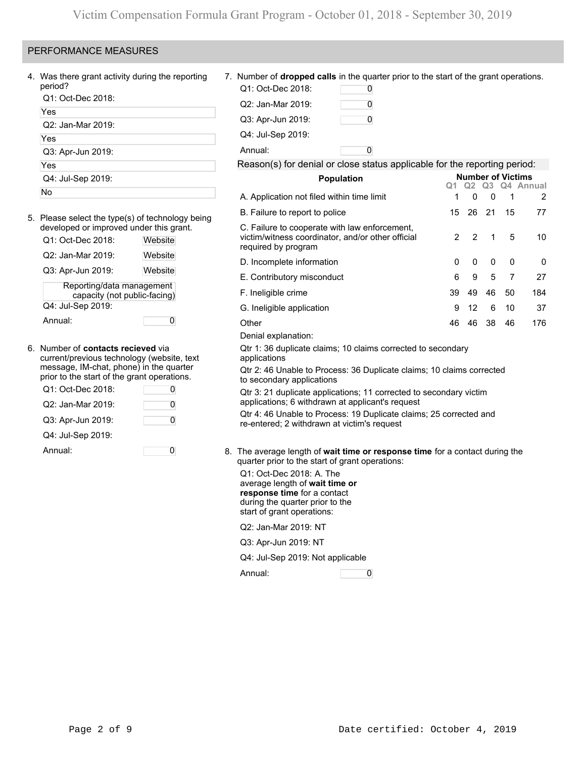# PERFORMANCE MEASURES

| 4. Was there grant activity during the reporting<br>period?                             |         | Q1: Oct-Dec 2018:                                                                                                                                          | 7. Number of <b>dropped calls</b> in the quarter prior to the start of the grant operations.<br>0                      |    |         |         |                          |                |
|-----------------------------------------------------------------------------------------|---------|------------------------------------------------------------------------------------------------------------------------------------------------------------|------------------------------------------------------------------------------------------------------------------------|----|---------|---------|--------------------------|----------------|
| Q1: Oct-Dec 2018:                                                                       |         |                                                                                                                                                            |                                                                                                                        |    |         |         |                          |                |
| Yes                                                                                     |         | Q2: Jan-Mar 2019:                                                                                                                                          | 0                                                                                                                      |    |         |         |                          |                |
| Q2: Jan-Mar 2019:                                                                       |         | Q3: Apr-Jun 2019:                                                                                                                                          | 0                                                                                                                      |    |         |         |                          |                |
| Yes                                                                                     |         | Q4: Jul-Sep 2019:                                                                                                                                          |                                                                                                                        |    |         |         |                          |                |
| Q3: Apr-Jun 2019:                                                                       |         | Annual:                                                                                                                                                    | 0                                                                                                                      |    |         |         |                          |                |
| Yes                                                                                     |         |                                                                                                                                                            | Reason(s) for denial or close status applicable for the reporting period:                                              |    |         |         |                          |                |
| Q4: Jul-Sep 2019:                                                                       |         |                                                                                                                                                            | Population                                                                                                             |    |         |         | <b>Number of Victims</b> |                |
| No                                                                                      |         | A. Application not filed within time limit                                                                                                                 |                                                                                                                        | Q1 | Q2<br>0 | Q3<br>0 | 1                        | Q4 Annual<br>2 |
| 5. Please select the type(s) of technology being                                        |         | B. Failure to report to police                                                                                                                             |                                                                                                                        | 15 | 26      | 21      | 15                       | 77             |
| developed or improved under this grant.<br>Q1: Oct-Dec 2018:                            | Website |                                                                                                                                                            | C. Failure to cooperate with law enforcement,<br>victim/witness coordinator, and/or other official                     | 2  | 2       | 1       | 5                        | 10             |
| Q2: Jan-Mar 2019:                                                                       | Website | required by program<br>D. Incomplete information                                                                                                           |                                                                                                                        | 0  | 0       | 0       | 0                        | 0              |
| Q3: Apr-Jun 2019:                                                                       | Website | E. Contributory misconduct                                                                                                                                 |                                                                                                                        | 6  | 9       | 5       | 7                        | 27             |
| Reporting/data management<br>capacity (not public-facing)                               |         | F. Ineligible crime                                                                                                                                        |                                                                                                                        | 39 | 49      | 46      | 50                       | 184            |
| Q4: Jul-Sep 2019:                                                                       |         | G. Ineligible application                                                                                                                                  |                                                                                                                        | 9  | 12      | 6       | 10                       | 37             |
| Annual:                                                                                 | 0       | Other                                                                                                                                                      |                                                                                                                        | 46 | 46      | 38      | 46                       | 176            |
|                                                                                         |         | Denial explanation:                                                                                                                                        |                                                                                                                        |    |         |         |                          |                |
| 6. Number of <b>contacts recieved</b> via<br>current/previous technology (website, text |         | applications                                                                                                                                               | Qtr 1: 36 duplicate claims; 10 claims corrected to secondary                                                           |    |         |         |                          |                |
| message, IM-chat, phone) in the quarter<br>prior to the start of the grant operations.  |         | to secondary applications                                                                                                                                  | Qtr 2: 46 Unable to Process: 36 Duplicate claims; 10 claims corrected                                                  |    |         |         |                          |                |
| Q1: Oct-Dec 2018:                                                                       | 0       |                                                                                                                                                            | Qtr 3: 21 duplicate applications; 11 corrected to secondary victim<br>applications; 6 withdrawn at applicant's request |    |         |         |                          |                |
| Q2: Jan-Mar 2019:                                                                       | 0       |                                                                                                                                                            | Qtr 4: 46 Unable to Process: 19 Duplicate claims; 25 corrected and                                                     |    |         |         |                          |                |
| Q3: Apr-Jun 2019:                                                                       | 0       | re-entered; 2 withdrawn at victim's request                                                                                                                |                                                                                                                        |    |         |         |                          |                |
| Q4: Jul-Sep 2019:                                                                       |         |                                                                                                                                                            |                                                                                                                        |    |         |         |                          |                |
| Annual:                                                                                 | 0       | quarter prior to the start of grant operations:                                                                                                            | 8. The average length of wait time or response time for a contact during the                                           |    |         |         |                          |                |
|                                                                                         |         | Q1: Oct-Dec 2018: A. The<br>average length of wait time or<br>response time for a contact<br>during the quarter prior to the<br>start of grant operations: |                                                                                                                        |    |         |         |                          |                |
|                                                                                         |         | Q2: Jan-Mar 2019: NT                                                                                                                                       |                                                                                                                        |    |         |         |                          |                |
|                                                                                         |         | Q3: Apr-Jun 2019: NT                                                                                                                                       |                                                                                                                        |    |         |         |                          |                |
|                                                                                         |         | Q4: Jul-Sep 2019: Not applicable                                                                                                                           |                                                                                                                        |    |         |         |                          |                |
|                                                                                         |         | Annual:                                                                                                                                                    | $\overline{\mathbf{0}}$                                                                                                |    |         |         |                          |                |
|                                                                                         |         |                                                                                                                                                            |                                                                                                                        |    |         |         |                          |                |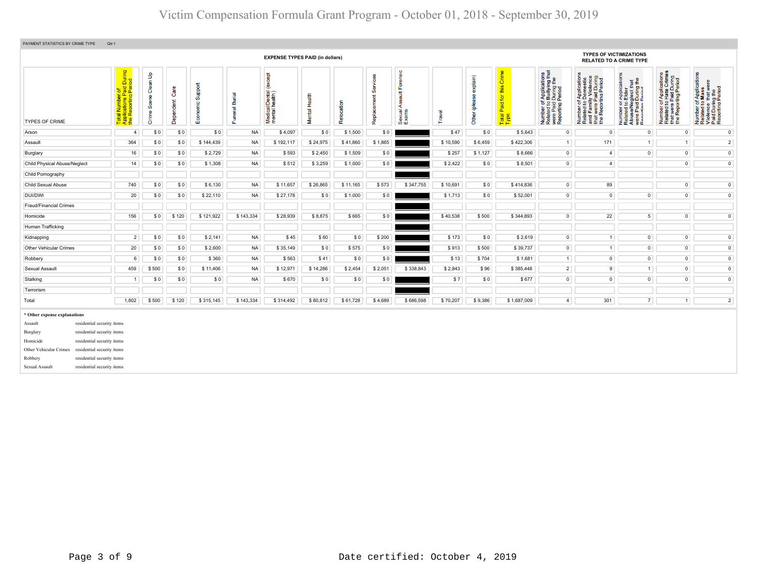| PAYMENT STATISTICS BY CRIME TYPE<br>Qtr:1                                                                                                                                                                                                                                                                  |                                                                                                                                                                                                                                                                                                                                                                                                                                                                                                                                                                                                                                                                                                                                                                                                                                                                                                                                                                                                                                                                                                                                                                                                                                                                                                                                                                                            |       |       |           |           |                                        |          |          |         |           |          |         |             |                |                                                                  |                |                |                |
|------------------------------------------------------------------------------------------------------------------------------------------------------------------------------------------------------------------------------------------------------------------------------------------------------------|--------------------------------------------------------------------------------------------------------------------------------------------------------------------------------------------------------------------------------------------------------------------------------------------------------------------------------------------------------------------------------------------------------------------------------------------------------------------------------------------------------------------------------------------------------------------------------------------------------------------------------------------------------------------------------------------------------------------------------------------------------------------------------------------------------------------------------------------------------------------------------------------------------------------------------------------------------------------------------------------------------------------------------------------------------------------------------------------------------------------------------------------------------------------------------------------------------------------------------------------------------------------------------------------------------------------------------------------------------------------------------------------|-------|-------|-----------|-----------|----------------------------------------|----------|----------|---------|-----------|----------|---------|-------------|----------------|------------------------------------------------------------------|----------------|----------------|----------------|
|                                                                                                                                                                                                                                                                                                            |                                                                                                                                                                                                                                                                                                                                                                                                                                                                                                                                                                                                                                                                                                                                                                                                                                                                                                                                                                                                                                                                                                                                                                                                                                                                                                                                                                                            |       |       |           |           | <b>EXPENSE TYPES PAID (in dollars)</b> |          |          |         |           |          |         |             |                | <b>TYPES OF VICTIMIZATIONS</b><br><b>RELATED TO A CRIME TYPE</b> |                |                |                |
| <b>TYPES OF CRIME</b>                                                                                                                                                                                                                                                                                      | Total Number of<br>Applications Paid During<br>the Reporting Period<br>Forensic<br>this Crime<br>of Applications<br>o Bullying that<br>d During the<br>period<br>$\mathsf{B}^{\mathsf{c}}$<br>Number of Applications<br>Related to Mass<br>Violence that were<br>Paid During the<br>Reporting Period<br>(except<br>mber of Applications<br>lated to Hate Crimes<br>at were Paid During<br>» Reporting Period<br>explain)<br>Number of Applications<br>Related to Domestic<br>and Family Violence<br>that were Paid During<br>the Reporting Period<br>that<br>g the<br>Clean<br>Support<br>glect th<br>During 1<br>Period<br>$\boldsymbol{\omega}$<br>යි<br>ౘె<br>Medical/Dental (<br>mental health)<br><b>Appl</b><br>Elde<br>t a<br>Funeral Burial<br>Mental Health<br>Total Paid for t<br>Type<br>Sœne<br>٣<br>Dependent<br>Number of <i>)</i><br>Related to <b>H</b><br>that were P <sub>i</sub><br>the Reportin<br>Number of <i>I</i><br>Related to <b>I</b><br>were Paid L<br>Reporting F<br>Number of <i>I</i><br>Related to <b>E</b><br>AbuseMeg<br>were Paid L<br>Reporting P<br>Economic<br><u>e</u><br>⋖<br>ā<br>Sexual <sub>/</sub><br>Exams<br>Travel<br>Crime<br>Other<br>Relo<br>Repl<br>\$0<br>\$0<br>\$0<br>\$0<br>\$1,500<br>\$47<br>\$0<br>\$5,643<br>$\overline{0}$<br>$\overline{0}$<br><b>NA</b><br>\$4,097<br>\$0<br>$\circ$<br>$\circ$<br>$\circ$<br>$\overline{4}$ |       |       |           |           |                                        |          |          |         |           |          |         |             |                |                                                                  |                |                |                |
| Arson                                                                                                                                                                                                                                                                                                      |                                                                                                                                                                                                                                                                                                                                                                                                                                                                                                                                                                                                                                                                                                                                                                                                                                                                                                                                                                                                                                                                                                                                                                                                                                                                                                                                                                                            |       |       |           |           |                                        |          |          |         |           |          |         |             |                |                                                                  |                |                |                |
| Assault                                                                                                                                                                                                                                                                                                    | 364                                                                                                                                                                                                                                                                                                                                                                                                                                                                                                                                                                                                                                                                                                                                                                                                                                                                                                                                                                                                                                                                                                                                                                                                                                                                                                                                                                                        | \$0   | \$0   | \$144,439 | <b>NA</b> | \$192,117                              | \$24,975 | \$41,860 | \$1,865 |           | \$10,590 | \$6,459 | \$422,306   | 1              | 171                                                              | 1              | $\overline{1}$ | $\overline{2}$ |
| Burglary                                                                                                                                                                                                                                                                                                   | 16                                                                                                                                                                                                                                                                                                                                                                                                                                                                                                                                                                                                                                                                                                                                                                                                                                                                                                                                                                                                                                                                                                                                                                                                                                                                                                                                                                                         | \$0   | \$0   | \$2,729   | <b>NA</b> | \$593                                  | \$2,450  | \$1,509  | \$0     |           | \$257    | \$1,127 | \$8,666     | $\overline{0}$ | $\overline{4}$                                                   | $\circ$        | $\circ$        | $\overline{0}$ |
| Child Physical Abuse/Neglect                                                                                                                                                                                                                                                                               | 14                                                                                                                                                                                                                                                                                                                                                                                                                                                                                                                                                                                                                                                                                                                                                                                                                                                                                                                                                                                                                                                                                                                                                                                                                                                                                                                                                                                         | \$0   | \$0   | \$1,308   | <b>NA</b> | \$512                                  | \$3,259  | \$1,000  | \$0     |           | \$2,422  | \$0     | \$8,501     | $\circ$        | $\overline{4}$                                                   |                | $\overline{0}$ | $\overline{0}$ |
| Child Pornography                                                                                                                                                                                                                                                                                          |                                                                                                                                                                                                                                                                                                                                                                                                                                                                                                                                                                                                                                                                                                                                                                                                                                                                                                                                                                                                                                                                                                                                                                                                                                                                                                                                                                                            |       |       |           |           |                                        |          |          |         |           |          |         |             |                |                                                                  |                |                |                |
| Child Sexual Abuse                                                                                                                                                                                                                                                                                         | 740                                                                                                                                                                                                                                                                                                                                                                                                                                                                                                                                                                                                                                                                                                                                                                                                                                                                                                                                                                                                                                                                                                                                                                                                                                                                                                                                                                                        | \$0   | \$0   | \$6,130   | <b>NA</b> | \$11,657                               | \$26,865 | \$11,165 | \$573   | \$347,755 | \$10,691 | \$0     | \$414,836   | $\overline{0}$ | 89                                                               |                | $\circ$        | $\overline{0}$ |
| <b>DUI/DWI</b>                                                                                                                                                                                                                                                                                             | 20                                                                                                                                                                                                                                                                                                                                                                                                                                                                                                                                                                                                                                                                                                                                                                                                                                                                                                                                                                                                                                                                                                                                                                                                                                                                                                                                                                                         | \$0   | \$0   | \$22,110  | <b>NA</b> | \$27,178                               | \$0      | \$1,000  | \$0     |           | \$1,713  | \$0     | \$52,001    | $\circ$        | $\circ$                                                          | $\overline{0}$ | $\overline{0}$ | $\overline{0}$ |
| <b>Fraud/Financial Crimes</b>                                                                                                                                                                                                                                                                              |                                                                                                                                                                                                                                                                                                                                                                                                                                                                                                                                                                                                                                                                                                                                                                                                                                                                                                                                                                                                                                                                                                                                                                                                                                                                                                                                                                                            |       |       |           |           |                                        |          |          |         |           |          |         |             |                |                                                                  |                |                |                |
| Homicide                                                                                                                                                                                                                                                                                                   | 156                                                                                                                                                                                                                                                                                                                                                                                                                                                                                                                                                                                                                                                                                                                                                                                                                                                                                                                                                                                                                                                                                                                                                                                                                                                                                                                                                                                        | \$0   | \$120 | \$121,922 | \$143,334 | \$28,939                               | \$8,875  | \$665    | \$0     |           | \$40,538 | \$500   | \$344,893   | $\circ$        | 22                                                               | $\overline{5}$ | $\mathbf 0$    | $\mathbf 0$    |
| Human Trafficking                                                                                                                                                                                                                                                                                          |                                                                                                                                                                                                                                                                                                                                                                                                                                                                                                                                                                                                                                                                                                                                                                                                                                                                                                                                                                                                                                                                                                                                                                                                                                                                                                                                                                                            |       |       |           |           |                                        |          |          |         |           |          |         |             |                |                                                                  |                |                |                |
| Kidnapping                                                                                                                                                                                                                                                                                                 | $2^{\circ}$                                                                                                                                                                                                                                                                                                                                                                                                                                                                                                                                                                                                                                                                                                                                                                                                                                                                                                                                                                                                                                                                                                                                                                                                                                                                                                                                                                                | \$0   | \$0   | \$2,141   | <b>NA</b> | \$45                                   | \$60     | \$0      | \$200   |           | \$173    | \$0     | \$2,619     | $\circ$        | 1                                                                | $\circ$        | $\mathbf{0}$   | $\circ$        |
| Other Vehicular Crimes                                                                                                                                                                                                                                                                                     | 20                                                                                                                                                                                                                                                                                                                                                                                                                                                                                                                                                                                                                                                                                                                                                                                                                                                                                                                                                                                                                                                                                                                                                                                                                                                                                                                                                                                         | \$0   | \$0   | \$2,600   | <b>NA</b> | \$35,149                               | \$0      | \$575    | \$0     |           | \$913    | \$500   | \$39,737    | $\circ$        | 1                                                                | $\circ$        | $\circ$        | $\circ$        |
| Robbery                                                                                                                                                                                                                                                                                                    | 6                                                                                                                                                                                                                                                                                                                                                                                                                                                                                                                                                                                                                                                                                                                                                                                                                                                                                                                                                                                                                                                                                                                                                                                                                                                                                                                                                                                          | \$0   | \$0   | \$360     | <b>NA</b> | \$563                                  | \$41     | \$0      | \$0     |           | \$13     | \$704   | \$1,681     | 1              | $\overline{0}$                                                   | $\overline{0}$ | $\mathsf{O}$   | $\mathbf 0$    |
| Sexual Assault                                                                                                                                                                                                                                                                                             | 459                                                                                                                                                                                                                                                                                                                                                                                                                                                                                                                                                                                                                                                                                                                                                                                                                                                                                                                                                                                                                                                                                                                                                                                                                                                                                                                                                                                        | \$500 | \$0   | \$11,406  | <b>NA</b> | \$12,971                               | \$14,286 | \$2,454  | \$2,051 | \$338,843 | \$2,843  | \$96    | \$385,448   | $\overline{2}$ | $\overline{9}$                                                   | $\mathbf{1}$   | $\circ$        | $\mathsf{O}$   |
| Stalking                                                                                                                                                                                                                                                                                                   | $\overline{1}$                                                                                                                                                                                                                                                                                                                                                                                                                                                                                                                                                                                                                                                                                                                                                                                                                                                                                                                                                                                                                                                                                                                                                                                                                                                                                                                                                                             | \$0   | \$0   | \$0       | <b>NA</b> | \$670                                  | \$0      | \$0      | \$0     |           | \$7      | \$0     | \$677       | $\bullet$      | $\overline{0}$                                                   | $\mathsf{O}$   | $\bullet$      | $\mathbf 0$    |
| Terrorism                                                                                                                                                                                                                                                                                                  |                                                                                                                                                                                                                                                                                                                                                                                                                                                                                                                                                                                                                                                                                                                                                                                                                                                                                                                                                                                                                                                                                                                                                                                                                                                                                                                                                                                            |       |       |           |           |                                        |          |          |         |           |          |         |             |                |                                                                  |                |                |                |
| Total                                                                                                                                                                                                                                                                                                      | 1,802                                                                                                                                                                                                                                                                                                                                                                                                                                                                                                                                                                                                                                                                                                                                                                                                                                                                                                                                                                                                                                                                                                                                                                                                                                                                                                                                                                                      | \$500 | \$120 | \$315,145 | \$143,334 | \$314,492                              | \$80,812 | \$61,728 | \$4,689 | \$686,598 | \$70,207 | \$9,386 | \$1,687,009 | $\overline{4}$ | 301                                                              | $\overline{7}$ | $\overline{1}$ | $\overline{2}$ |
| * Other expense explanations<br>residential security items<br>Assault<br>residential security items<br>Burglary<br>residential security items<br>Homicide<br>residential security items<br>Other Vehicular Crimes<br>residential security items<br>Robbery<br>residential security items<br>Sexual Assault |                                                                                                                                                                                                                                                                                                                                                                                                                                                                                                                                                                                                                                                                                                                                                                                                                                                                                                                                                                                                                                                                                                                                                                                                                                                                                                                                                                                            |       |       |           |           |                                        |          |          |         |           |          |         |             |                |                                                                  |                |                |                |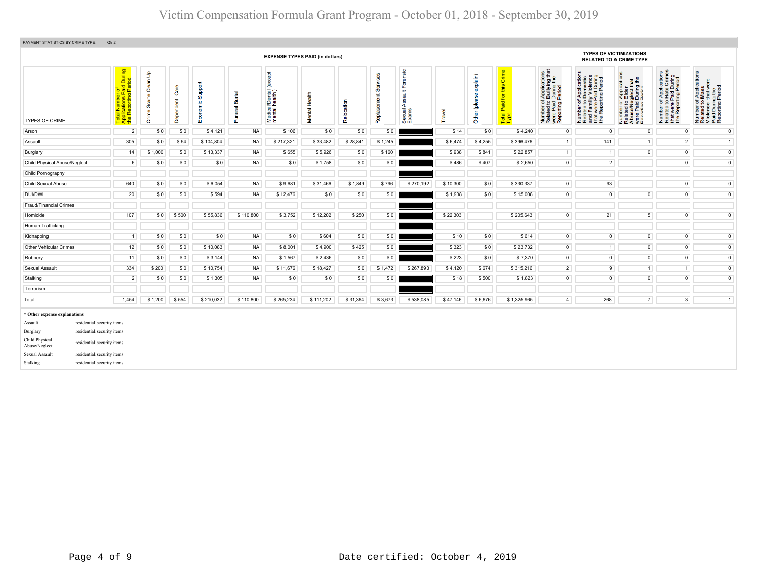| PAYMENT STATISTICS BY CRIME TYPE                                                                                                                                                                                                                               | Qtr:2                                                                                                                                                                                                                                                                                                                                                                                                                                                                                                                                                                                                                                                                                                                                                                                                                                                                                                                                                                                                                                                                                                                                                |         |       |           |           |                                        |           |          |         |           |          |         |             |                |                                |                                |                     |                |
|----------------------------------------------------------------------------------------------------------------------------------------------------------------------------------------------------------------------------------------------------------------|------------------------------------------------------------------------------------------------------------------------------------------------------------------------------------------------------------------------------------------------------------------------------------------------------------------------------------------------------------------------------------------------------------------------------------------------------------------------------------------------------------------------------------------------------------------------------------------------------------------------------------------------------------------------------------------------------------------------------------------------------------------------------------------------------------------------------------------------------------------------------------------------------------------------------------------------------------------------------------------------------------------------------------------------------------------------------------------------------------------------------------------------------|---------|-------|-----------|-----------|----------------------------------------|-----------|----------|---------|-----------|----------|---------|-------------|----------------|--------------------------------|--------------------------------|---------------------|----------------|
|                                                                                                                                                                                                                                                                |                                                                                                                                                                                                                                                                                                                                                                                                                                                                                                                                                                                                                                                                                                                                                                                                                                                                                                                                                                                                                                                                                                                                                      |         |       |           |           | <b>EXPENSE TYPES PAID (in dollars)</b> |           |          |         |           |          |         |             |                | <b>TYPES OF VICTIMIZATIONS</b> | <b>RELATED TO A CRIME TYPE</b> |                     |                |
| <b>TYPES OF CRIME</b>                                                                                                                                                                                                                                          | Total Number of<br>Applications Paid During<br>the Reporting Period<br>Forensic<br>of Applications<br>o Bullying that<br>1 During the<br>I Period<br>Clean Up<br><b>Tako</b><br>Number of Applications<br>Related to Hate Crimes<br>that were Paid During<br>the Reporting Period<br>vices<br>explain)<br>of Applications<br>o Domestic<br>illy Violence<br>• Paid During<br>rting Period<br>$\delta$<br>ת Application<br>Die Elder<br>Plect that<br>Pluring the<br>Number of Application<br>Related to Mass<br>Violence that were<br>Paid During the<br>Reporting Period<br>Support<br>ð<br>this<br>Care<br>Ŏ,<br>Medical/Dental (<br>mental health)<br><b>Tius</b><br><b>Burial</b><br>Mental Health<br>Other (please<br>Scene<br>Replacement<br>$\overline{\sigma}$<br>Dependent<br>Number of /<br>Related to I<br>and Family<br>that were P.<br>the Reportin<br>Relocation<br>Number of J<br>Related to I<br>were Paid L<br>Reporting P<br>Economic<br>Paid <sub>1</sub><br>Number of <i>I</i><br>Related to <b>I</b><br>Abuse/Neg<br>Were Paid I<br>Reporting P<br>∢<br>uneral<br>Sexual <sub>/</sub><br>Crime:<br>Travel<br>Total<br>Type<br>Œ |         |       |           |           |                                        |           |          |         |           |          |         |             |                |                                |                                |                     |                |
| Arson                                                                                                                                                                                                                                                          | $\overline{2}$                                                                                                                                                                                                                                                                                                                                                                                                                                                                                                                                                                                                                                                                                                                                                                                                                                                                                                                                                                                                                                                                                                                                       | \$0     | \$0   | \$4,121   | <b>NA</b> | \$106                                  | \$0       | \$0      | \$0     |           | \$14     | \$0     | \$4,240     | $\overline{0}$ | $\circ$                        | $\circ$                        | $\circ$             | $\circ$        |
| Assault                                                                                                                                                                                                                                                        | 305                                                                                                                                                                                                                                                                                                                                                                                                                                                                                                                                                                                                                                                                                                                                                                                                                                                                                                                                                                                                                                                                                                                                                  | \$0     | \$54  | \$104,804 | <b>NA</b> | \$217,321                              | \$33,482  | \$28,841 | \$1,245 |           | \$6,474  | \$4,255 | \$396,476   | 1              | 141                            | $\overline{1}$                 | $\overline{2}$      | 1              |
| Burglary                                                                                                                                                                                                                                                       | 14                                                                                                                                                                                                                                                                                                                                                                                                                                                                                                                                                                                                                                                                                                                                                                                                                                                                                                                                                                                                                                                                                                                                                   | \$1,000 | \$0   | \$13,337  | <b>NA</b> | \$655                                  | \$5,926   | \$0      | \$160   |           | \$938    | \$841   | \$22,857    | 1              | $\overline{1}$                 | $\overline{0}$                 | $\overline{0}$      | $\circ$        |
| Child Physical Abuse/Neglect                                                                                                                                                                                                                                   | 6                                                                                                                                                                                                                                                                                                                                                                                                                                                                                                                                                                                                                                                                                                                                                                                                                                                                                                                                                                                                                                                                                                                                                    | \$0     | \$0   | \$0       | <b>NA</b> | \$0                                    | \$1,758   | \$0      | \$0     |           | \$486    | \$407   | \$2,650     | $\overline{0}$ | $\overline{2}$                 |                                | $\circ$             | $\mathbf{0}$   |
| Child Pornography                                                                                                                                                                                                                                              |                                                                                                                                                                                                                                                                                                                                                                                                                                                                                                                                                                                                                                                                                                                                                                                                                                                                                                                                                                                                                                                                                                                                                      |         |       |           |           |                                        |           |          |         |           |          |         |             |                |                                |                                |                     |                |
| Child Sexual Abuse                                                                                                                                                                                                                                             | 640                                                                                                                                                                                                                                                                                                                                                                                                                                                                                                                                                                                                                                                                                                                                                                                                                                                                                                                                                                                                                                                                                                                                                  | \$0     | \$0   | \$6,054   | <b>NA</b> | \$9,681                                | \$31,466  | \$1,849  | \$796   | \$270,192 | \$10,300 | \$0     | \$330,337   | $\overline{0}$ | 93                             |                                | $\overline{0}$      | $\overline{0}$ |
| DUI/DWI                                                                                                                                                                                                                                                        | 20                                                                                                                                                                                                                                                                                                                                                                                                                                                                                                                                                                                                                                                                                                                                                                                                                                                                                                                                                                                                                                                                                                                                                   | \$0     | \$0   | \$594     | <b>NA</b> | \$12,476                               | \$0       | \$0      | \$0     |           | \$1,938  | \$0     | \$15,008    | $\circ$        | $\mathsf 0$                    | $\mathsf 0$                    | $\circ$             | $\circ$        |
| <b>Fraud/Financial Crimes</b>                                                                                                                                                                                                                                  |                                                                                                                                                                                                                                                                                                                                                                                                                                                                                                                                                                                                                                                                                                                                                                                                                                                                                                                                                                                                                                                                                                                                                      |         |       |           |           |                                        |           |          |         |           |          |         |             |                |                                |                                |                     |                |
| Homicide                                                                                                                                                                                                                                                       | 107                                                                                                                                                                                                                                                                                                                                                                                                                                                                                                                                                                                                                                                                                                                                                                                                                                                                                                                                                                                                                                                                                                                                                  | \$0     | \$500 | \$55,836  | \$110,800 | \$3,752                                | \$12,202  | \$250    | \$0     |           | \$22,303 |         | \$205,643   | $\overline{0}$ | 21                             | 5 <sup>1</sup>                 | $\overline{0}$      | $\overline{0}$ |
| Human Trafficking                                                                                                                                                                                                                                              |                                                                                                                                                                                                                                                                                                                                                                                                                                                                                                                                                                                                                                                                                                                                                                                                                                                                                                                                                                                                                                                                                                                                                      |         |       |           |           |                                        |           |          |         |           |          |         |             |                |                                |                                |                     |                |
| Kidnapping                                                                                                                                                                                                                                                     | $\overline{1}$                                                                                                                                                                                                                                                                                                                                                                                                                                                                                                                                                                                                                                                                                                                                                                                                                                                                                                                                                                                                                                                                                                                                       | \$0     | \$0   | \$0       | <b>NA</b> | \$0                                    | \$604     | \$0      | \$0     |           | \$10     | \$0     | \$614       | $\overline{0}$ | $\overline{0}$                 | $\mathsf 0$                    | $\mathsf{O}\xspace$ | $\overline{0}$ |
| <b>Other Vehicular Crimes</b>                                                                                                                                                                                                                                  | 12                                                                                                                                                                                                                                                                                                                                                                                                                                                                                                                                                                                                                                                                                                                                                                                                                                                                                                                                                                                                                                                                                                                                                   | \$0     | \$0   | \$10,083  | <b>NA</b> | \$8,001                                | \$4,900   | \$425    | \$0     |           | \$323    | \$0     | \$23,732    | $\overline{0}$ | 1                              | $\overline{0}$                 | $\overline{0}$      | $\overline{0}$ |
| Robbery                                                                                                                                                                                                                                                        | 11                                                                                                                                                                                                                                                                                                                                                                                                                                                                                                                                                                                                                                                                                                                                                                                                                                                                                                                                                                                                                                                                                                                                                   | \$0     | \$0   | \$3,144   | <b>NA</b> | \$1,567                                | \$2,436   | \$0      | \$0     |           | \$223    | \$0     | \$7,370     | $\overline{0}$ | $\mathbf 0$                    | $\mathsf{O}$                   | $\bullet$           | $\overline{0}$ |
| Sexual Assault                                                                                                                                                                                                                                                 | 334                                                                                                                                                                                                                                                                                                                                                                                                                                                                                                                                                                                                                                                                                                                                                                                                                                                                                                                                                                                                                                                                                                                                                  | \$200   | \$0   | \$10,754  | <b>NA</b> | \$11,676                               | \$18,427  | \$0      | \$1,472 | \$267,893 | \$4,120  | \$674   | \$315,216   | $2^{\circ}$    | 9                              | 1                              | 1                   | $\overline{0}$ |
| Stalking                                                                                                                                                                                                                                                       | $\overline{2}$                                                                                                                                                                                                                                                                                                                                                                                                                                                                                                                                                                                                                                                                                                                                                                                                                                                                                                                                                                                                                                                                                                                                       | \$0     | \$0   | \$1,305   | <b>NA</b> | \$0                                    | \$0       | \$0      | \$0     |           | \$18     | \$500   | \$1,823     | $\overline{0}$ | $\overline{0}$                 | $\overline{0}$                 | $\overline{0}$      | $\overline{0}$ |
| Terrorism                                                                                                                                                                                                                                                      |                                                                                                                                                                                                                                                                                                                                                                                                                                                                                                                                                                                                                                                                                                                                                                                                                                                                                                                                                                                                                                                                                                                                                      |         |       |           |           |                                        |           |          |         |           |          |         |             |                |                                |                                |                     |                |
| Total                                                                                                                                                                                                                                                          | 1,454                                                                                                                                                                                                                                                                                                                                                                                                                                                                                                                                                                                                                                                                                                                                                                                                                                                                                                                                                                                                                                                                                                                                                | \$1,200 | \$554 | \$210,032 | \$110,800 | \$265,234                              | \$111,202 | \$31,364 | \$3,673 | \$538,085 | \$47,146 | \$6,676 | \$1,325,965 | 4 <sup>1</sup> | 268                            | $\overline{7}$                 | 3 <sup>1</sup>      | 1              |
| * Other expense explanations<br>residential security items<br>Assault<br>residential security items<br>Burglary<br>Child Physical<br>residential security items<br>Abuse/Neglect<br>Sexual Assault<br>residential security items<br>residential security items |                                                                                                                                                                                                                                                                                                                                                                                                                                                                                                                                                                                                                                                                                                                                                                                                                                                                                                                                                                                                                                                                                                                                                      |         |       |           |           |                                        |           |          |         |           |          |         |             |                |                                |                                |                     |                |
| Stalking                                                                                                                                                                                                                                                       |                                                                                                                                                                                                                                                                                                                                                                                                                                                                                                                                                                                                                                                                                                                                                                                                                                                                                                                                                                                                                                                                                                                                                      |         |       |           |           |                                        |           |          |         |           |          |         |             |                |                                |                                |                     |                |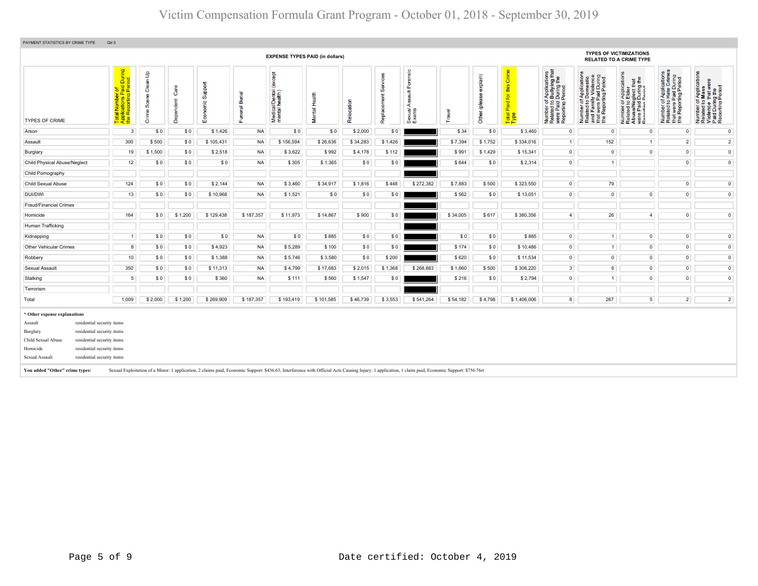| PAYMENT STATISTICS BY CRIME TYPE<br>Qtr:3                                                                                                                                                                                                                                                       |                                                                                                                     |                                                    |                           |                                  |                    |                                                                                                                                                                                                     |               |           |                 |                                           |          |                           |                                               |                                                                                                                                 |                                                                                                                                                                      |                                                                                                                                            |                                                                                                                                                   |                                                                                                                                                           |
|-------------------------------------------------------------------------------------------------------------------------------------------------------------------------------------------------------------------------------------------------------------------------------------------------|---------------------------------------------------------------------------------------------------------------------|----------------------------------------------------|---------------------------|----------------------------------|--------------------|-----------------------------------------------------------------------------------------------------------------------------------------------------------------------------------------------------|---------------|-----------|-----------------|-------------------------------------------|----------|---------------------------|-----------------------------------------------|---------------------------------------------------------------------------------------------------------------------------------|----------------------------------------------------------------------------------------------------------------------------------------------------------------------|--------------------------------------------------------------------------------------------------------------------------------------------|---------------------------------------------------------------------------------------------------------------------------------------------------|-----------------------------------------------------------------------------------------------------------------------------------------------------------|
|                                                                                                                                                                                                                                                                                                 |                                                                                                                     |                                                    |                           |                                  |                    | <b>EXPENSE TYPES PAID (in dollars)</b>                                                                                                                                                              |               |           |                 |                                           |          |                           |                                               |                                                                                                                                 | <b>TYPES OF VICTIMIZATIONS</b>                                                                                                                                       | <b>RELATED TO A CRIME TYPE</b>                                                                                                             |                                                                                                                                                   |                                                                                                                                                           |
| <b>TYPES OF CRIME</b>                                                                                                                                                                                                                                                                           | During<br>Tod<br>b a a ii<br>al Number c<br>plications Pa<br>Reporting F<br><b>Numl</b><br>Total<br>Applic<br>the R | $\mathbf{f}$<br>Clean<br>ழ<br>Ø<br>$\bf \Phi$<br>ŏ | Φ<br>ర్<br>pendent<br>പ്പ | upport<br>ശ<br>$\circ$<br>8<br>ш | ᠊ᢎ<br>ă<br>Funeral | (except<br>Medical/Dental (<br>mental health)                                                                                                                                                       | Mental Health | 员<br>Relo | යී<br>ŧ<br>Repl | Forensic<br>time<br>∢<br>Sexual.<br>Exams | Travel   | explain)<br>Other (please | ō<br>语<br><u>, 5</u><br>Paid<br>Total<br>Type | f Applications<br>b Bullying that<br>I During the<br>Period<br>Number of J<br>Related to <b>E</b><br>were Paid L<br>Reporting F | uring<br>riod<br>$\frac{1}{2}$<br><b>Appli</b><br>Dom<br>y Vio<br>ily Vi<br>Paid<br>ting F<br>59<br>E e g<br>Number<br>Related t<br>and Fam<br>that were<br>the Repo | cation<br>glect that<br>During the<br><b>Appl</b><br>Elde<br>Number of <i>I</i><br>Related to I<br>Abuse/Neg<br>were Paid I<br>Reporting B | cations<br>Crimes<br>d During<br>Period<br>r Appli<br>Paid D<br>Paid De<br>ting Pe<br>$\frac{1}{2}$<br>Number<br>Related<br>that were<br>the Repo | f Application<br>Mass<br>$\mathbf{\overline{O}}$<br>•nce ura<br>During the<br>אting Period<br>59<br>Number<br>Related<br>Violence<br>Paid Dur<br>Reportin |
| Arson                                                                                                                                                                                                                                                                                           | $\mathbf{3}$                                                                                                        | \$0                                                | \$0                       | \$1,426                          | <b>NA</b>          | \$0                                                                                                                                                                                                 | \$0           | \$2,000   | \$0             |                                           | \$34     | \$0                       | \$3,460                                       | $\mathsf 0$                                                                                                                     | $\Omega$                                                                                                                                                             | $\overline{0}$                                                                                                                             | $\overline{0}$                                                                                                                                    | $\circ$                                                                                                                                                   |
| Assault                                                                                                                                                                                                                                                                                         | 300                                                                                                                 | \$500                                              | \$0                       | \$105,431                        | <b>NA</b>          | \$156,594                                                                                                                                                                                           | \$26,636      | \$34,283  | \$1,426         |                                           | \$7,394  | \$1,752                   | \$334,016                                     | 1                                                                                                                               | 152                                                                                                                                                                  | $\overline{1}$                                                                                                                             | $\overline{2}$                                                                                                                                    | $\overline{2}$                                                                                                                                            |
| Burglary                                                                                                                                                                                                                                                                                        | 19                                                                                                                  | \$1,500                                            | \$0                       | \$2,518                          | <b>NA</b>          | \$3,622                                                                                                                                                                                             | \$992         | \$4,178   | \$112           |                                           | \$991    | \$1,429                   | \$15,341                                      | $\mathsf 0$                                                                                                                     | $\overline{0}$                                                                                                                                                       | $\overline{0}$                                                                                                                             | $\overline{0}$                                                                                                                                    | $\bullet$                                                                                                                                                 |
| Child Physical Abuse/Neglect                                                                                                                                                                                                                                                                    | 12                                                                                                                  | \$0                                                | \$0                       | \$0                              | <b>NA</b>          | \$305                                                                                                                                                                                               | \$1,365       | \$0       | \$0             |                                           | \$644    | \$0                       | \$2,314                                       | $\bullet$                                                                                                                       | 1                                                                                                                                                                    |                                                                                                                                            | $\circ$                                                                                                                                           | $\bullet$                                                                                                                                                 |
| Child Pornography                                                                                                                                                                                                                                                                               |                                                                                                                     |                                                    |                           |                                  |                    |                                                                                                                                                                                                     |               |           |                 |                                           |          |                           |                                               |                                                                                                                                 |                                                                                                                                                                      |                                                                                                                                            |                                                                                                                                                   |                                                                                                                                                           |
| Child Sexual Abuse                                                                                                                                                                                                                                                                              | 124                                                                                                                 | \$0                                                | \$0                       | \$2,144                          | <b>NA</b>          | \$3,460                                                                                                                                                                                             | \$34,917      | \$1,816   | \$448           | \$272,382                                 | \$7,883  | \$500                     | \$323,550                                     | $\mathsf 0$                                                                                                                     | 79                                                                                                                                                                   |                                                                                                                                            | $\circ$                                                                                                                                           | $\circ$                                                                                                                                                   |
| DUI/DWI                                                                                                                                                                                                                                                                                         | 13                                                                                                                  | \$0                                                | \$0                       | \$10,968                         | <b>NA</b>          | \$1,521                                                                                                                                                                                             | \$0           | \$0       | \$0             |                                           | \$562    | \$0                       | \$13,051                                      | $\mathsf 0$                                                                                                                     | $\overline{0}$                                                                                                                                                       | $\overline{0}$                                                                                                                             | $\overline{0}$                                                                                                                                    | $\circ$                                                                                                                                                   |
| Fraud/Financial Crimes                                                                                                                                                                                                                                                                          |                                                                                                                     |                                                    |                           |                                  |                    |                                                                                                                                                                                                     |               |           |                 |                                           |          |                           |                                               |                                                                                                                                 |                                                                                                                                                                      |                                                                                                                                            |                                                                                                                                                   |                                                                                                                                                           |
| Homicide                                                                                                                                                                                                                                                                                        | 164                                                                                                                 | \$0                                                | \$1,200                   | \$129,438                        | \$187,357          | \$11,973                                                                                                                                                                                            | \$14,867      | \$900     | \$0             |                                           | \$34,005 | \$617                     | \$380,356                                     | $\overline{4}$                                                                                                                  | 26                                                                                                                                                                   | 4                                                                                                                                          | $\overline{0}$                                                                                                                                    | $\circ$                                                                                                                                                   |
| Human Trafficking                                                                                                                                                                                                                                                                               |                                                                                                                     |                                                    |                           |                                  |                    |                                                                                                                                                                                                     |               |           |                 |                                           |          |                           |                                               |                                                                                                                                 |                                                                                                                                                                      |                                                                                                                                            |                                                                                                                                                   |                                                                                                                                                           |
| Kidnapping                                                                                                                                                                                                                                                                                      | $\overline{1}$                                                                                                      | \$0                                                | \$0                       | \$0                              | <b>NA</b>          | \$0                                                                                                                                                                                                 | \$885         | \$0       | \$0             |                                           | \$0      | \$0                       | \$885                                         | $\bullet$                                                                                                                       | 1                                                                                                                                                                    | $\overline{0}$                                                                                                                             | $\overline{0}$                                                                                                                                    | $\bullet$                                                                                                                                                 |
| Other Vehicular Crimes                                                                                                                                                                                                                                                                          | 8                                                                                                                   | \$0                                                | \$0                       | \$4,923                          | <b>NA</b>          | \$5,289                                                                                                                                                                                             | \$100         | \$0       | \$0             |                                           | \$174    | \$0                       | \$10,486                                      | $\mathsf 0$                                                                                                                     | 1                                                                                                                                                                    | $\overline{0}$                                                                                                                             | $\overline{0}$                                                                                                                                    | $\mathbf 0$                                                                                                                                               |
| Robbery                                                                                                                                                                                                                                                                                         | 10 <sup>1</sup>                                                                                                     | \$0                                                | \$0                       | \$1,388                          | <b>NA</b>          | \$5,746                                                                                                                                                                                             | \$3,580       | \$0       | \$200           |                                           | \$620    | \$0                       | \$11,534                                      | $\mathsf 0$                                                                                                                     | $\overline{0}$                                                                                                                                                       | $\overline{0}$                                                                                                                             | $\overline{0}$                                                                                                                                    | $\circ$                                                                                                                                                   |
| Sexual Assault                                                                                                                                                                                                                                                                                  | 350                                                                                                                 | \$0                                                | \$0                       | \$11,313                         | <b>NA</b>          | \$4,799                                                                                                                                                                                             | \$17,683      | \$2,015   | \$1,368         | \$268,883                                 | \$1,660  | \$500                     | \$308,220                                     | $\overline{\mathbf{3}}$                                                                                                         | 6                                                                                                                                                                    | $\overline{0}$                                                                                                                             | $\overline{0}$                                                                                                                                    | $\circ$                                                                                                                                                   |
| Stalking                                                                                                                                                                                                                                                                                        | 5                                                                                                                   | \$0                                                | \$0                       | \$360                            | <b>NA</b>          | \$111                                                                                                                                                                                               | \$560         | \$1,547   | \$0             |                                           | \$216    | \$0                       | \$2,794                                       | $\mathsf 0$                                                                                                                     | 1                                                                                                                                                                    | $\overline{0}$                                                                                                                             | $\overline{0}$                                                                                                                                    | $\bullet$                                                                                                                                                 |
| Terrorism                                                                                                                                                                                                                                                                                       |                                                                                                                     |                                                    |                           |                                  |                    |                                                                                                                                                                                                     |               |           |                 |                                           |          |                           |                                               |                                                                                                                                 |                                                                                                                                                                      |                                                                                                                                            |                                                                                                                                                   |                                                                                                                                                           |
| Total                                                                                                                                                                                                                                                                                           | 1,009                                                                                                               | \$2,000                                            | \$1,200                   | \$269,909                        | \$187,357          | \$193,419                                                                                                                                                                                           | \$101,585     | \$46,739  | \$3,553         | \$541,264                                 | \$54,182 | \$4,798                   | \$1,406,006                                   | 8                                                                                                                               | 267                                                                                                                                                                  | 5 <sup>1</sup>                                                                                                                             | 2 <sup>1</sup>                                                                                                                                    | $\overline{2}$                                                                                                                                            |
| * Other expense explanations<br>residential security items<br>Assault<br>Burglary<br>residential security items<br>Child Sexual Abuse<br>residential security items<br>residential security items<br>Homicide<br>Sexual Assault<br>residential security items<br>You added "Other" crime types: |                                                                                                                     |                                                    |                           |                                  |                    | Sexual Exploitation of a Minor: 1 application, 2 claims paid, Economic Support: \$436.63; Interference with Official Acts Causing Injury: 1 application, 1 claim paid, Economic Support: \$756.76rt |               |           |                 |                                           |          |                           |                                               |                                                                                                                                 |                                                                                                                                                                      |                                                                                                                                            |                                                                                                                                                   |                                                                                                                                                           |
|                                                                                                                                                                                                                                                                                                 |                                                                                                                     |                                                    |                           |                                  |                    |                                                                                                                                                                                                     |               |           |                 |                                           |          |                           |                                               |                                                                                                                                 |                                                                                                                                                                      |                                                                                                                                            |                                                                                                                                                   |                                                                                                                                                           |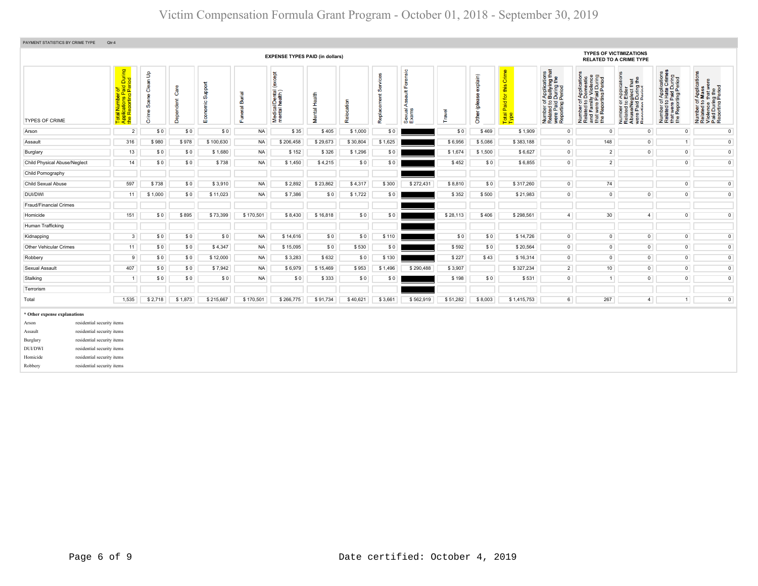| PAYMENT STATISTICS BY CRIME TYPE<br>Qtr:4                                                                                                                                                                                                                                          |                                                                                                                                                                                                                                                                                                                                                                                                                                                                                                                                                                                                                                                                                                                                                                                                                                                                                                                                                                                                                                                                                                                                                                                                                 |         |         |           |           |                                        |          |          |         |           |          |         |             |                |                |                                                                                                                                                     |                |                |
|------------------------------------------------------------------------------------------------------------------------------------------------------------------------------------------------------------------------------------------------------------------------------------|-----------------------------------------------------------------------------------------------------------------------------------------------------------------------------------------------------------------------------------------------------------------------------------------------------------------------------------------------------------------------------------------------------------------------------------------------------------------------------------------------------------------------------------------------------------------------------------------------------------------------------------------------------------------------------------------------------------------------------------------------------------------------------------------------------------------------------------------------------------------------------------------------------------------------------------------------------------------------------------------------------------------------------------------------------------------------------------------------------------------------------------------------------------------------------------------------------------------|---------|---------|-----------|-----------|----------------------------------------|----------|----------|---------|-----------|----------|---------|-------------|----------------|----------------|-----------------------------------------------------------------------------------------------------------------------------------------------------|----------------|----------------|
|                                                                                                                                                                                                                                                                                    |                                                                                                                                                                                                                                                                                                                                                                                                                                                                                                                                                                                                                                                                                                                                                                                                                                                                                                                                                                                                                                                                                                                                                                                                                 |         |         |           |           | <b>EXPENSE TYPES PAID (in dollars)</b> |          |          |         |           |          |         |             |                |                | <b>TYPES OF VICTIMIZATIONS</b><br><b>RELATED TO A CRIME TYPE</b>                                                                                    |                |                |
| <b>TYPES OF CRIME</b>                                                                                                                                                                                                                                                              | Total Number of<br>Applications Paid During<br>the Reporting Period<br>Forensic<br>of Applications<br>o Bullying that<br>1 During the<br>I Period<br>$\mathbf{B}$<br>except<br>Number of Applications<br>Related to Hate Crimes<br>that were Paid During<br>the Reporting Period<br><b>Services</b><br>(mindx<br>έĒ,<br>Number of Applications<br>Related to Domestic<br>and Family Violence<br>that were Paid During<br>the Reporting Period<br><b>TE</b><br>Clean <sup>1</sup><br>upport<br>this<br><b>TApplica</b><br><b>Elder</b><br>During t<br>During t<br>Care<br>Medical/Dental (<br>mental health)<br>œ<br>言<br>ಹ<br>Mental Health<br>Replacement<br>Scene<br>৯<br>ശ്<br>ã<br>Dependent<br>eeld)<br>Relocation<br>Number of <i>I</i><br>Related to <b>B</b><br>were Paid L<br>Reporting P<br>Number of<br>Related to I<br>Abuse/Neg<br>Were Paid I<br>Renorting P<br>$\frac{10}{10}$<br>$\overline{\sigma}$<br>⋖<br>$\overline{\omega}$<br>exual<br>xams<br>Travel<br>Φ<br>Other<br>Total<br>Type<br>Grim<br>8<br>운<br>m<br>மை<br>$\bullet$<br>$\overline{2}$<br>\$0<br>\$0<br>\$0<br><b>NA</b><br>\$35<br>\$405<br>\$1,000<br>\$0<br>\$0<br>\$469<br>\$1,909<br>$\circ$<br>$\mathsf 0$<br>$\mathsf 0$ |         |         |           |           |                                        |          |          |         |           |          |         |             |                |                | hber of Applications<br>tted to Mass<br>ence that were<br>I During the<br>orting Period<br>Number<br>Related t<br>Violence<br>Paid Dur<br>Reporting |                |                |
| Arson                                                                                                                                                                                                                                                                              |                                                                                                                                                                                                                                                                                                                                                                                                                                                                                                                                                                                                                                                                                                                                                                                                                                                                                                                                                                                                                                                                                                                                                                                                                 |         |         |           |           |                                        |          |          |         |           |          |         |             |                |                |                                                                                                                                                     |                | $\circ$        |
| Assault                                                                                                                                                                                                                                                                            | 316                                                                                                                                                                                                                                                                                                                                                                                                                                                                                                                                                                                                                                                                                                                                                                                                                                                                                                                                                                                                                                                                                                                                                                                                             | \$980   | \$978   | \$100,630 | <b>NA</b> | \$206,458                              | \$29,673 | \$30,804 | \$1,625 |           | \$6,956  | \$5,086 | \$383,188   | $\circ$        | 148            | $\mathsf 0$                                                                                                                                         | 1              | $\bullet$      |
| Burglary                                                                                                                                                                                                                                                                           | 13                                                                                                                                                                                                                                                                                                                                                                                                                                                                                                                                                                                                                                                                                                                                                                                                                                                                                                                                                                                                                                                                                                                                                                                                              | \$0     | \$0     | \$1,680   | <b>NA</b> | \$152                                  | \$326    | \$1,296  | \$0     |           | \$1,674  | \$1,500 | \$6,627     | $\overline{0}$ | $\overline{2}$ | $\overline{0}$                                                                                                                                      | $\circ$        | $\circ$        |
| <b>Child Physical Abuse/Neglect</b>                                                                                                                                                                                                                                                | 14                                                                                                                                                                                                                                                                                                                                                                                                                                                                                                                                                                                                                                                                                                                                                                                                                                                                                                                                                                                                                                                                                                                                                                                                              | \$0     | \$0     | \$738     | <b>NA</b> | \$1,450                                | \$4,215  | \$0      | \$0     |           | \$452    | \$0     | \$6,855     | $\overline{0}$ | $\overline{2}$ |                                                                                                                                                     | $\mathsf 0$    | $\bullet$      |
| Child Pornography                                                                                                                                                                                                                                                                  |                                                                                                                                                                                                                                                                                                                                                                                                                                                                                                                                                                                                                                                                                                                                                                                                                                                                                                                                                                                                                                                                                                                                                                                                                 |         |         |           |           |                                        |          |          |         |           |          |         |             |                |                |                                                                                                                                                     |                |                |
| Child Sexual Abuse                                                                                                                                                                                                                                                                 | 597                                                                                                                                                                                                                                                                                                                                                                                                                                                                                                                                                                                                                                                                                                                                                                                                                                                                                                                                                                                                                                                                                                                                                                                                             | \$738   | \$0     | \$3,910   | <b>NA</b> | \$2,892                                | \$23,862 | \$4,317  | \$300   | \$272,431 | \$8,810  | \$0     | \$317,260   | $\mathbf{0}$   | 74             |                                                                                                                                                     | $\circ$        | $\circ$        |
| DUI/DWI                                                                                                                                                                                                                                                                            | 11                                                                                                                                                                                                                                                                                                                                                                                                                                                                                                                                                                                                                                                                                                                                                                                                                                                                                                                                                                                                                                                                                                                                                                                                              | \$1,000 | \$0     | \$11,023  | <b>NA</b> | \$7,386                                | \$0      | \$1,722  | \$0     |           | \$352    | \$500   | \$21,983    | $\overline{0}$ | $\mathsf 0$    | $\circ$                                                                                                                                             | $\mathsf 0$    | $\overline{0}$ |
| Fraud/Financial Crimes                                                                                                                                                                                                                                                             |                                                                                                                                                                                                                                                                                                                                                                                                                                                                                                                                                                                                                                                                                                                                                                                                                                                                                                                                                                                                                                                                                                                                                                                                                 |         |         |           |           |                                        |          |          |         |           |          |         |             |                |                |                                                                                                                                                     |                |                |
| Homicide                                                                                                                                                                                                                                                                           | 151                                                                                                                                                                                                                                                                                                                                                                                                                                                                                                                                                                                                                                                                                                                                                                                                                                                                                                                                                                                                                                                                                                                                                                                                             | \$0     | \$895   | \$73,399  | \$170,501 | \$8,430                                | \$16,818 | \$0      | \$0     |           | \$28,113 | \$406   | \$298,561   | $\overline{4}$ | 30             | $\overline{4}$                                                                                                                                      | $\circ$        | $\circ$        |
| Human Trafficking                                                                                                                                                                                                                                                                  |                                                                                                                                                                                                                                                                                                                                                                                                                                                                                                                                                                                                                                                                                                                                                                                                                                                                                                                                                                                                                                                                                                                                                                                                                 |         |         |           |           |                                        |          |          |         |           |          |         |             |                |                |                                                                                                                                                     |                |                |
| Kidnapping                                                                                                                                                                                                                                                                         | 3                                                                                                                                                                                                                                                                                                                                                                                                                                                                                                                                                                                                                                                                                                                                                                                                                                                                                                                                                                                                                                                                                                                                                                                                               | \$0     | \$0     | \$0       | <b>NA</b> | \$14,616                               | \$0      | \$0      | \$110   |           | \$0      | \$0     | \$14,726    | $\mathbf{0}$   | $\mathbf 0$    | $\mathbf 0$                                                                                                                                         | $\circ$        | $\circ$        |
| <b>Other Vehicular Crimes</b>                                                                                                                                                                                                                                                      | 11                                                                                                                                                                                                                                                                                                                                                                                                                                                                                                                                                                                                                                                                                                                                                                                                                                                                                                                                                                                                                                                                                                                                                                                                              | \$0     | \$0     | \$4,347   | <b>NA</b> | \$15,095                               | \$0      | \$530    | \$0     |           | \$592    | \$0     | \$20,564    | $\circ$        | $\overline{0}$ | $\overline{0}$                                                                                                                                      | $\circ$        | $\overline{0}$ |
| Robbery                                                                                                                                                                                                                                                                            | 9                                                                                                                                                                                                                                                                                                                                                                                                                                                                                                                                                                                                                                                                                                                                                                                                                                                                                                                                                                                                                                                                                                                                                                                                               | \$0     | \$0     | \$12,000  | <b>NA</b> | \$3,283                                | \$632    | \$0      | \$130   |           | \$227    | \$43    | \$16,314    | $\circ$        | $\mathsf 0$    | $\mathsf 0$                                                                                                                                         | $\circ$        | $\circ$        |
| Sexual Assault                                                                                                                                                                                                                                                                     | 407                                                                                                                                                                                                                                                                                                                                                                                                                                                                                                                                                                                                                                                                                                                                                                                                                                                                                                                                                                                                                                                                                                                                                                                                             | \$0     | \$0     | \$7,942   | <b>NA</b> | \$6,979                                | \$15,469 | \$953    | \$1,496 | \$290,488 | \$3,907  |         | \$327,234   | $2^{\circ}$    | 10             | $\mathsf 0$                                                                                                                                         | $\mathsf 0$    | $\circ$        |
| Stalking                                                                                                                                                                                                                                                                           | $\overline{1}$                                                                                                                                                                                                                                                                                                                                                                                                                                                                                                                                                                                                                                                                                                                                                                                                                                                                                                                                                                                                                                                                                                                                                                                                  | \$0     | \$0     | \$0       | <b>NA</b> | \$0                                    | \$333    | \$0      | \$0     |           | \$198    | \$0     | \$531       | $\circ$        | $\overline{1}$ | $\circ$                                                                                                                                             | $\mathbf 0$    | $\mathbf 0$    |
| Terrorism                                                                                                                                                                                                                                                                          |                                                                                                                                                                                                                                                                                                                                                                                                                                                                                                                                                                                                                                                                                                                                                                                                                                                                                                                                                                                                                                                                                                                                                                                                                 |         |         |           |           |                                        |          |          |         |           |          |         |             |                |                |                                                                                                                                                     |                |                |
| Total                                                                                                                                                                                                                                                                              | 1,535                                                                                                                                                                                                                                                                                                                                                                                                                                                                                                                                                                                                                                                                                                                                                                                                                                                                                                                                                                                                                                                                                                                                                                                                           | \$2,718 | \$1,873 | \$215,667 | \$170,501 | \$266,775                              | \$91,734 | \$40,621 | \$3,661 | \$562,919 | \$51,282 | \$8,003 | \$1,415,753 | 6              | 267            | $\overline{4}$                                                                                                                                      | $\overline{1}$ | $\bullet$      |
| * Other expense explanations<br>residential security items<br>Arson<br>residential security items<br>Assault<br>residential security items<br>Burglary<br>DUI/DWI<br>residential security items<br>Homicide<br>residential security items<br>residential security items<br>Robbery |                                                                                                                                                                                                                                                                                                                                                                                                                                                                                                                                                                                                                                                                                                                                                                                                                                                                                                                                                                                                                                                                                                                                                                                                                 |         |         |           |           |                                        |          |          |         |           |          |         |             |                |                |                                                                                                                                                     |                |                |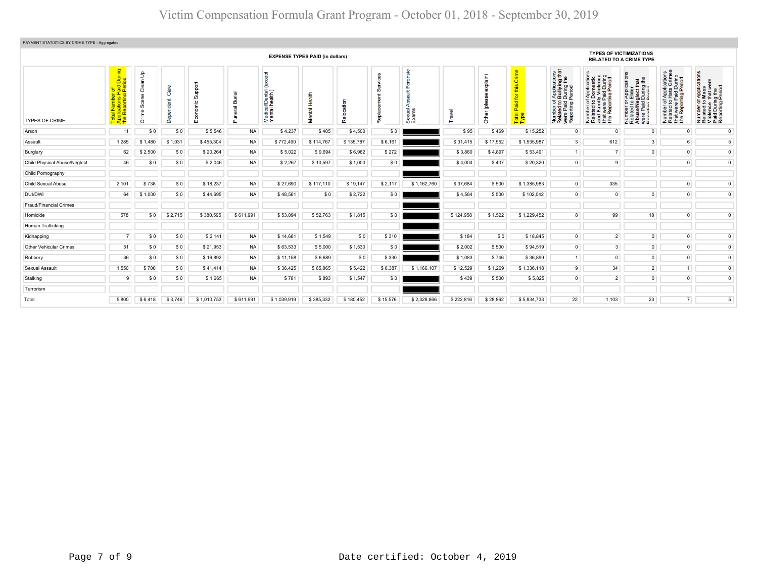| PAYMENT STATISTICS BY CRIME TYPE - Aggregated                                                              |                                                                                       |                                            |         |                  |           |                                                 |                         |                             |          |                        |           |                      |                                          |                                                                                                                                                |                                                                                                                                                                                    |                                                                                                                                         |                                                                                                                                      |                                                                                                               |
|------------------------------------------------------------------------------------------------------------|---------------------------------------------------------------------------------------|--------------------------------------------|---------|------------------|-----------|-------------------------------------------------|-------------------------|-----------------------------|----------|------------------------|-----------|----------------------|------------------------------------------|------------------------------------------------------------------------------------------------------------------------------------------------|------------------------------------------------------------------------------------------------------------------------------------------------------------------------------------|-----------------------------------------------------------------------------------------------------------------------------------------|--------------------------------------------------------------------------------------------------------------------------------------|---------------------------------------------------------------------------------------------------------------|
| <b>TYPES OF VICTIMIZATIONS</b><br><b>EXPENSE TYPES PAID (in dollars)</b><br><b>RELATED TO A CRIME TYPE</b> |                                                                                       |                                            |         |                  |           |                                                 |                         |                             |          |                        |           |                      |                                          |                                                                                                                                                |                                                                                                                                                                                    |                                                                                                                                         |                                                                                                                                      |                                                                                                               |
| <b>TYPES OF CRIME</b>                                                                                      | During<br>riod<br>of<br>aid<br>Peri<br><b>Designation</b><br>Total<br>Applic<br>the R | $\mathbf{f}$<br>ౚ<br>පී<br>ၜ<br>ŭ<br>Crime |         | poddr<br>c<br>ū. | m<br>eral | <b>be</b><br>Medical/Dental (<br>mental health) | Health<br><b>Mental</b> | 동<br><b>The Set</b><br>Relo | Repl     | sic<br>Sexual<br>Exams | ravel     | (misdx<br>ē<br>Other | $\overline{\sigma}$<br>Ä<br><b>Total</b> | es<br>that<br>f Application<br>During the<br>Period<br>Period<br>er of<br>Paid<br>Tring<br>Tring<br>Number<br>Related<br>were Pai<br>Reporting | ening<br>Top<br>FApplication<br>Domestic<br>Iy Violence<br>ily Viore.<br>Paid Dun<br><sup>Ting Peri</sup><br>59<br>Ē<br>were<br>Repor<br>mber<br>lated<br>d Fan<br><b>Engrange</b> | <b>TE</b><br>Applica<br>Elder<br>glect th<br>During I<br>Period<br>5.8882<br>Number<br>Related to<br>Abuse/No<br>were Paic<br>Reporting | of Applications<br>o Hate Crimes<br>Paid During<br>rting Period<br>$\frac{1}{6}$<br>় ১<br>Number<br>Related<br>t were<br><b>E</b> e | <b>Tati</b><br>Number of Applic<br>Related to Mass<br>Violence that we<br>Paid During the<br>Reporting Period |
| Arson                                                                                                      | 11                                                                                    | \$0                                        | \$0     | \$5.546          | <b>NA</b> | \$4,237                                         | \$405                   | \$4.500                     | \$0      |                        | \$95      | \$469                | \$15,252                                 | $\circ$                                                                                                                                        | $\Omega$                                                                                                                                                                           | $^{\circ}$                                                                                                                              | $\circ$                                                                                                                              | $\mathbf{0}$                                                                                                  |
| Assault                                                                                                    | 1,285                                                                                 | \$1,480                                    | \$1,031 | \$455,304        | <b>NA</b> | \$772,490                                       | \$114,767               | \$135,787                   | \$6,161  |                        | \$31,415  | \$17,552             | \$1,535,987                              | 3 <sup>1</sup>                                                                                                                                 | 612                                                                                                                                                                                | 3 <sup>1</sup>                                                                                                                          | 6 <sup>1</sup>                                                                                                                       | 5                                                                                                             |
| Burglary                                                                                                   | 62                                                                                    | \$2,500                                    | \$0     | \$20,264         | <b>NA</b> | \$5,022                                         | \$9,694                 | \$6,982                     | \$272    |                        | \$3,860   | \$4,897              | \$53,491                                 | 1                                                                                                                                              | 7 <sup>1</sup>                                                                                                                                                                     | $\overline{0}$                                                                                                                          | $\overline{0}$                                                                                                                       | $\circ$                                                                                                       |
| Child Physical Abuse/Neglect                                                                               | 46                                                                                    | \$0                                        | \$0     | \$2,046          | <b>NA</b> | \$2,267                                         | \$10,597                | \$1,000                     | \$0      |                        | \$4,004   | \$407                | \$20,320                                 | $\overline{0}$                                                                                                                                 | 9                                                                                                                                                                                  |                                                                                                                                         | $\overline{0}$                                                                                                                       | $\mathbf{0}$                                                                                                  |
| Child Pornography                                                                                          |                                                                                       |                                            |         |                  |           |                                                 |                         |                             |          |                        |           |                      |                                          |                                                                                                                                                |                                                                                                                                                                                    |                                                                                                                                         |                                                                                                                                      |                                                                                                               |
| Child Sexual Abuse                                                                                         | 2,101                                                                                 | \$738                                      | \$0     | \$18,237         | <b>NA</b> | \$27,690                                        | \$117,110               | \$19,147                    | \$2,117  | \$1,162,760            | \$37,684  | \$500                | \$1,385,983                              | $\overline{0}$                                                                                                                                 | 335                                                                                                                                                                                |                                                                                                                                         | $\overline{0}$                                                                                                                       | $\mathbf 0$                                                                                                   |
| DUI/DWI                                                                                                    | 64                                                                                    | \$1,000                                    | \$0     | \$44,695         | <b>NA</b> | \$48,561                                        | \$0                     | \$2,722                     | \$0      |                        | \$4,564   | \$500                | \$102,042                                | $\overline{0}$                                                                                                                                 | $\overline{0}$                                                                                                                                                                     | $\overline{0}$                                                                                                                          | $\mathbf{0}$                                                                                                                         | $\mathsf 0$                                                                                                   |
| Fraud/Financial Crimes                                                                                     |                                                                                       |                                            |         |                  |           |                                                 |                         |                             |          |                        |           |                      |                                          |                                                                                                                                                |                                                                                                                                                                                    |                                                                                                                                         |                                                                                                                                      |                                                                                                               |
| Homicide                                                                                                   | 578                                                                                   | \$0                                        | \$2,715 | \$380,595        | \$611.991 | \$53,094                                        | \$52,763                | \$1,815                     | \$0      |                        | \$124,958 | \$1,522              | \$1,229,452                              | 8                                                                                                                                              | 99                                                                                                                                                                                 | 18                                                                                                                                      | $\overline{0}$                                                                                                                       | $\circ$                                                                                                       |
| Human Trafficking                                                                                          |                                                                                       |                                            |         |                  |           |                                                 |                         |                             |          |                        |           |                      |                                          |                                                                                                                                                |                                                                                                                                                                                    |                                                                                                                                         |                                                                                                                                      |                                                                                                               |
| Kidnapping                                                                                                 | 7                                                                                     | \$0                                        | \$0     | \$2,141          | <b>NA</b> | \$14,661                                        | \$1,549                 | \$0                         | \$310    |                        | \$184     | \$0                  | \$18,845                                 | $\overline{0}$                                                                                                                                 | $\overline{2}$                                                                                                                                                                     | $\overline{0}$                                                                                                                          | $\overline{0}$                                                                                                                       | $\mathbf 0$                                                                                                   |
| Other Vehicular Crimes                                                                                     | 51                                                                                    | \$0                                        | \$0     | \$21,953         | <b>NA</b> | \$63,533                                        | \$5,000                 | \$1,530                     | \$0      |                        | \$2,002   | \$500                | \$94,519                                 | $\overline{0}$                                                                                                                                 | 3 <sup>1</sup>                                                                                                                                                                     | $\overline{0}$                                                                                                                          | $\overline{0}$                                                                                                                       | $\mathbf 0$                                                                                                   |
| Robbery                                                                                                    | 36                                                                                    | \$0                                        | \$0     | \$16,892         | <b>NA</b> | \$11,158                                        | \$6,689                 | \$0                         | \$330    |                        | \$1,083   | \$746                | \$36,899                                 | 1                                                                                                                                              | $\overline{0}$                                                                                                                                                                     | $\circ$                                                                                                                                 | $\overline{0}$                                                                                                                       | $\mathbf 0$                                                                                                   |
| Sexual Assault                                                                                             | 1,550                                                                                 | \$700                                      | \$0     | \$41,414         | <b>NA</b> | \$36,425                                        | \$65,865                | \$5,422                     | \$6,387  | \$1,166,107            | \$12,529  | \$1,269              | \$1,336,118                              | 9                                                                                                                                              | 34                                                                                                                                                                                 | $2^{\circ}$                                                                                                                             | 1                                                                                                                                    | $\overline{0}$                                                                                                |
| Stalking                                                                                                   | 9                                                                                     | \$0                                        | \$0     | \$1,665          | <b>NA</b> | \$781                                           | \$893                   | \$1,547                     | \$0      |                        | \$439     | \$500                | \$5,825                                  | $\overline{0}$                                                                                                                                 | 2                                                                                                                                                                                  | $\overline{0}$                                                                                                                          | $\overline{0}$                                                                                                                       | $\mathbf 0$                                                                                                   |
| Terrorism                                                                                                  |                                                                                       |                                            |         |                  |           |                                                 |                         |                             |          |                        |           |                      |                                          |                                                                                                                                                |                                                                                                                                                                                    |                                                                                                                                         |                                                                                                                                      |                                                                                                               |
| Total                                                                                                      | 5,800                                                                                 | \$6,418                                    | \$3,746 | \$1,010,753      | \$611,991 | \$1,039,919                                     | \$385,332               | \$180,452                   | \$15,576 | \$2,328,866            | \$222,816 | \$28,862             | \$5,834,733                              | 22                                                                                                                                             | 1,103                                                                                                                                                                              | 23                                                                                                                                      | 7 <sup>1</sup>                                                                                                                       | 5                                                                                                             |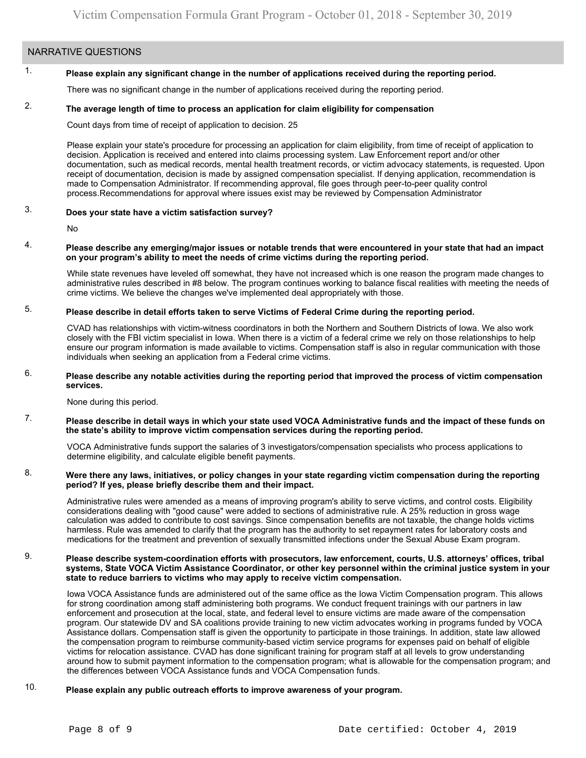### NARRATIVE QUESTIONS

#### 1. **Please explain any significant change in the number of applications received during the reporting period.**

There was no significant change in the number of applications received during the reporting period.

#### 2. **The average length of time to process an application for claim eligibility for compensation**

Count days from time of receipt of application to decision. 25

Please explain your state's procedure for processing an application for claim eligibility, from time of receipt of application to decision. Application is received and entered into claims processing system. Law Enforcement report and/or other documentation, such as medical records, mental health treatment records, or victim advocacy statements, is requested. Upon receipt of documentation, decision is made by assigned compensation specialist. If denying application, recommendation is made to Compensation Administrator. If recommending approval, file goes through peer-to-peer quality control process.Recommendations for approval where issues exist may be reviewed by Compensation Administrator

#### 3. **Does your state have a victim satisfaction survey?**

No

### 4. **Please describe any emerging/major issues or notable trends that were encountered in your state that had an impact on your program's ability to meet the needs of crime victims during the reporting period.**

While state revenues have leveled off somewhat, they have not increased which is one reason the program made changes to administrative rules described in #8 below. The program continues working to balance fiscal realities with meeting the needs of crime victims. We believe the changes we've implemented deal appropriately with those.

#### 5. **Please describe in detail efforts taken to serve Victims of Federal Crime during the reporting period.**

CVAD has relationships with victim-witness coordinators in both the Northern and Southern Districts of Iowa. We also work closely with the FBI victim specialist in Iowa. When there is a victim of a federal crime we rely on those relationships to help ensure our program information is made available to victims. Compensation staff is also in regular communication with those individuals when seeking an application from a Federal crime victims.

### 6. **Please describe any notable activities during the reporting period that improved the process of victim compensation services.**

None during this period.

7. **Please describe in detail ways in which your state used VOCA Administrative funds and the impact of these funds on the state's ability to improve victim compensation services during the reporting period.**

VOCA Administrative funds support the salaries of 3 investigators/compensation specialists who process applications to determine eligibility, and calculate eligible benefit payments.

### 8. **Were there any laws, initiatives, or policy changes in your state regarding victim compensation during the reporting period? If yes, please briefly describe them and their impact.**

Administrative rules were amended as a means of improving program's ability to serve victims, and control costs. Eligibility considerations dealing with "good cause" were added to sections of administrative rule. A 25% reduction in gross wage calculation was added to contribute to cost savings. Since compensation benefits are not taxable, the change holds victims harmless. Rule was amended to clarify that the program has the authority to set repayment rates for laboratory costs and medications for the treatment and prevention of sexually transmitted infections under the Sexual Abuse Exam program.

### 9. **Please describe system-coordination efforts with prosecutors, law enforcement, courts, U.S. attorneys' offices, tribal systems, State VOCA Victim Assistance Coordinator, or other key personnel within the criminal justice system in your state to reduce barriers to victims who may apply to receive victim compensation.**

Iowa VOCA Assistance funds are administered out of the same office as the Iowa Victim Compensation program. This allows for strong coordination among staff administering both programs. We conduct frequent trainings with our partners in law enforcement and prosecution at the local, state, and federal level to ensure victims are made aware of the compensation program. Our statewide DV and SA coalitions provide training to new victim advocates working in programs funded by VOCA Assistance dollars. Compensation staff is given the opportunity to participate in those trainings. In addition, state law allowed the compensation program to reimburse community-based victim service programs for expenses paid on behalf of eligible victims for relocation assistance. CVAD has done significant training for program staff at all levels to grow understanding around how to submit payment information to the compensation program; what is allowable for the compensation program; and the differences between VOCA Assistance funds and VOCA Compensation funds.

#### 10. **Please explain any public outreach efforts to improve awareness of your program.**